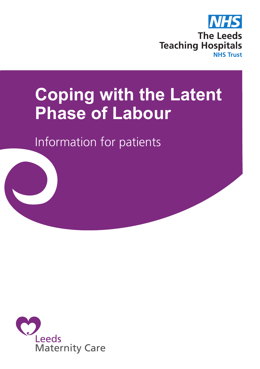

# **Coping with the Latent Phase of Labour**

Information for patients

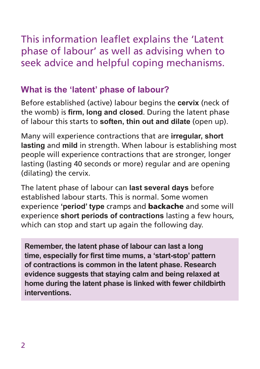This information leaflet explains the 'Latent phase of labour' as well as advising when to seek advice and helpful coping mechanisms.

# **What is the 'latent' phase of labour?**

Before established (active) labour begins the **cervix** (neck of the womb) is **firm, long and closed**. During the latent phase of labour this starts to **soften, thin out and dilate** (open up).

Many will experience contractions that are **irregular, short lasting** and **mild** in strength. When labour is establishing most people will experience contractions that are stronger, longer lasting (lasting 40 seconds or more) regular and are opening (dilating) the cervix.

The latent phase of labour can **last several days** before established labour starts. This is normal. Some women experience **'period' type** cramps and backache and some will experience **short periods of contractions** lasting a few hours, which can stop and start up again the following day.

**Remember, the latent phase of labour can last a long time, especially for first time mums, a 'start-stop' pattern of contractions is common in the latent phase. Research evidence suggests that staying calm and being relaxed at home during the latent phase is linked with fewer childbirth interventions.**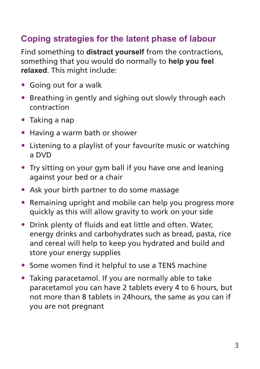# **Coping strategies for the latent phase of labour**

Find something to **distract yourself** from the contractions, something that you would do normally to **help you feel relaxed**. This might include:

- Going out for a walk
- Breathing in gently and sighing out slowly through each contraction
- Taking a nap
- Having a warm bath or shower
- Listening to a playlist of your favourite music or watching a DVD
- Try sitting on your gym ball if you have one and leaning against your bed or a chair
- Ask your birth partner to do some massage
- Remaining upright and mobile can help you progress more quickly as this will allow gravity to work on your side
- Drink plenty of fluids and eat little and often. Water, energy drinks and carbohydrates such as bread, pasta, rice and cereal will help to keep you hydrated and build and store your energy supplies
- Some women find it helpful to use a TENS machine
- Taking paracetamol. If you are normally able to take paracetamol you can have 2 tablets every 4 to 6 hours, but not more than 8 tablets in 24hours, the same as you can if you are not pregnant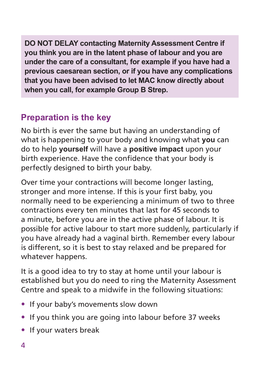**DO NOT DELAY contacting Maternity Assessment Centre if you think you are in the latent phase of labour and you are under the care of a consultant, for example if you have had a previous caesarean section, or if you have any complications that you have been advised to let MAC know directly about when you call, for example Group B Strep.**

# **Preparation is the key**

No birth is ever the same but having an understanding of what is happening to your body and knowing what **you** can do to help **yourself** will have a **positive impact** upon your birth experience. Have the confidence that your body is perfectly designed to birth your baby.

Over time your contractions will become longer lasting, stronger and more intense. If this is your first baby, you normally need to be experiencing a minimum of two to three contractions every ten minutes that last for 45 seconds to a minute, before you are in the active phase of labour. It is possible for active labour to start more suddenly, particularly if you have already had a vaginal birth. Remember every labour is different, so it is best to stay relaxed and be prepared for whatever happens.

It is a good idea to try to stay at home until your labour is established but you do need to ring the Maternity Assessment Centre and speak to a midwife in the following situations:

- If your baby's movements slow down
- If you think you are going into labour before 37 weeks
- If your waters break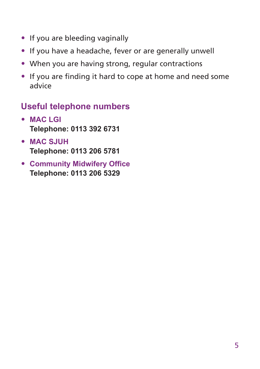- If you are bleeding vaginally
- If you have a headache, fever or are generally unwell
- When you are having strong, regular contractions
- If you are finding it hard to cope at home and need some advice

#### **Useful telephone numbers**

- **MAC LGI Telephone: 0113 392 6731**
- **MAC SJUH Telephone: 0113 206 5781**
- **Community Midwifery Office Telephone: 0113 206 5329**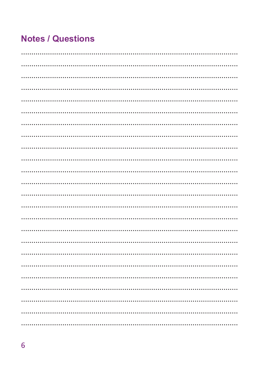## **Notes / Questions**